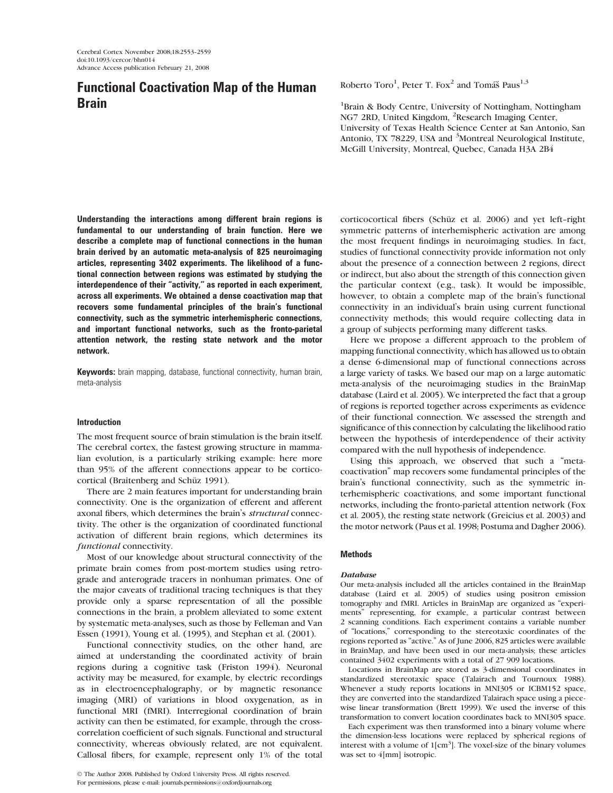# Functional Coactivation Map of the Human Brain

Understanding the interactions among different brain regions is fundamental to our understanding of brain function. Here we describe a complete map of functional connections in the human brain derived by an automatic meta-analysis of 825 neuroimaging articles, representing 3402 experiments. The likelihood of a functional connection between regions was estimated by studying the interdependence of their ''activity,'' as reported in each experiment, across all experiments. We obtained a dense coactivation map that recovers some fundamental principles of the brain's functional connectivity, such as the symmetric interhemispheric connections, and important functional networks, such as the fronto-parietal attention network, the resting state network and the motor network.

**Keywords:** brain mapping, database, functional connectivity, human brain, meta-analysis

## Introduction

The most frequent source of brain stimulation is the brain itself. The cerebral cortex, the fastest growing structure in mammalian evolution, is a particularly striking example: here more than 95% of the afferent connections appear to be corticocortical (Braitenberg and Schüz 1991).

There are 2 main features important for understanding brain connectivity. One is the organization of efferent and afferent axonal fibers, which determines the brain's structural connectivity. The other is the organization of coordinated functional activation of different brain regions, which determines its functional connectivity.

Most of our knowledge about structural connectivity of the primate brain comes from post-mortem studies using retrograde and anterograde tracers in nonhuman primates. One of the major caveats of traditional tracing techniques is that they provide only a sparse representation of all the possible connections in the brain, a problem alleviated to some extent by systematic meta-analyses, such as those by Felleman and Van Essen (1991), Young et al. (1995), and Stephan et al. (2001).

Functional connectivity studies, on the other hand, are aimed at understanding the coordinated activity of brain regions during a cognitive task (Friston 1994). Neuronal activity may be measured, for example, by electric recordings as in electroencephalography, or by magnetic resonance imaging (MRI) of variations in blood oxygenation, as in functional MRI (fMRI). Interregional coordination of brain activity can then be estimated, for example, through the crosscorrelation coefficient of such signals. Functional and structural connectivity, whereas obviously related, are not equivalent. Callosal fibers, for example, represent only 1% of the total

 $©$  The Author 2008. Published by Oxford University Press. All rights reserved. For permissions, please e-mail: journals.permissions@oxfordjournals.org

Roberto Toro<sup>1</sup>, Peter T. Fox<sup>2</sup> and Tomáš Paus<sup>1,3</sup>

<sup>1</sup>Brain & Body Centre, University of Nottingham, Nottingham NG7 2RD, United Kingdom, <sup>2</sup>Research Imaging Center, University of Texas Health Science Center at San Antonio, San Antonio, TX 78229, USA and <sup>3</sup>Montreal Neurological Institute, McGill University, Montreal, Quebec, Canada H3A 2B4

corticocortical fibers (Schüz et al. 2006) and yet left-right symmetric patterns of interhemispheric activation are among the most frequent findings in neuroimaging studies. In fact, studies of functional connectivity provide information not only about the presence of a connection between 2 regions, direct or indirect, but also about the strength of this connection given the particular context (e.g., task). It would be impossible, however, to obtain a complete map of the brain's functional connectivity in an individual's brain using current functional connectivity methods; this would require collecting data in a group of subjects performing many different tasks.

Here we propose a different approach to the problem of mapping functional connectivity, which has allowed us to obtain a dense 6-dimensional map of functional connections across a large variety of tasks. We based our map on a large automatic meta-analysis of the neuroimaging studies in the BrainMap database (Laird et al. 2005). We interpreted the fact that a group of regions is reported together across experiments as evidence of their functional connection. We assessed the strength and significance of this connection by calculating the likelihood ratio between the hypothesis of interdependence of their activity compared with the null hypothesis of independence.

Using this approach, we observed that such a "metacoactivation'' map recovers some fundamental principles of the brain's functional connectivity, such as the symmetric interhemispheric coactivations, and some important functional networks, including the fronto-parietal attention network (Fox et al. 2005), the resting state network (Greicius et al. 2003) and the motor network (Paus et al. 1998; Postuma and Dagher 2006).

## Methods

#### Database

Our meta-analysis included all the articles contained in the BrainMap database (Laird et al. 2005) of studies using positron emission tomography and fMRI. Articles in BrainMap are organized as ''experiments'' representing, for example, a particular contrast between 2 scanning conditions. Each experiment contains a variable number of ''locations,'' corresponding to the stereotaxic coordinates of the regions reported as ''active.'' As of June 2006, 825 articles were available in BrainMap, and have been used in our meta-analysis; these articles contained 3402 experiments with a total of 27 909 locations.

Locations in BrainMap are stored as 3-dimensional coordinates in standardized stereotaxic space (Talairach and Tournoux 1988). Whenever a study reports locations in MNI305 or ICBM152 space, they are converted into the standardized Talairach space using a piecewise linear transformation (Brett 1999). We used the inverse of this transformation to convert location coordinates back to MNI305 space.

Each experiment was then transformed into a binary volume where the dimension-less locations were replaced by spherical regions of interest with a volume of 1[cm<sup>3</sup>]. The voxel-size of the binary volumes was set to 4[mm] isotropic.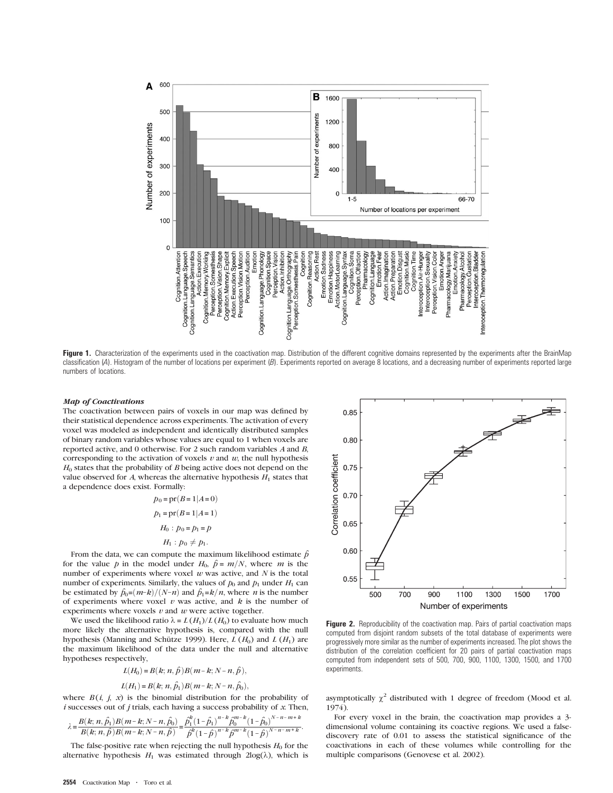

Figure 1. Characterization of the experiments used in the coactivation map. Distribution of the different cognitive domains represented by the experiments after the BrainMap classification (A). Histogram of the number of locations per experiment (B). Experiments reported on average 8 locations, and a decreasing number of experiments reported large numbers of locations.

#### Map of Coactivations

The coactivation between pairs of voxels in our map was defined by their statistical dependence across experiments. The activation of every voxel was modeled as independent and identically distributed samples of binary random variables whose values are equal to 1 when voxels are reported active, and 0 otherwise. For 2 such random variables A and B, corresponding to the activation of voxels  $v$  and  $w$ , the null hypothesis  $H<sub>0</sub>$  states that the probability of B being active does not depend on the value observed for  $A$ , whereas the alternative hypothesis  $H_1$  states that a dependence does exist. Formally:

$$
p_0 = pr(B=1|A=0)
$$
  
\n
$$
p_1 = pr(B=1|A=1)
$$
  
\n
$$
H_0: p_0 = p_1 = p
$$
  
\n
$$
H_1: p_0 \neq p_1.
$$

From the data, we can compute the maximum likelihood estimate  $\hat{p}$ for the value p in the model under  $H_0$ ,  $\hat{p} = m/N$ , where m is the number of experiments where voxel  $w$  was active, and  $N$  is the total number of experiments. Similarly, the values of  $p_0$  and  $p_1$  under  $H_1$  can be estimated by  $\hat{p}_0 = (m-k)/(N-n)$  and  $\hat{p}_1 = k/n$ , where *n* is the number of experiments where voxel  $v$  was active, and  $k$  is the number of experiments where voxels  $v$  and  $w$  were active together.

We used the likelihood ratio  $\lambda = L(H_1)/L(H_0)$  to evaluate how much more likely the alternative hypothesis is, compared with the null hypothesis (Manning and Schütze 1999). Here,  $L(H_0)$  and  $L(H_1)$  are the maximum likelihood of the data under the null and alternative hypotheses respectively,

$$
L(H_0) = B(k; n, \hat{p})B(m-k; N-n, \hat{p}),
$$
  

$$
L(H_1) = B(k; n, \hat{p}_1)B(m-k; N-n, \hat{p}_0),
$$

where  $B(i, j, x)$  is the binomial distribution for the probability of  $i$  successes out of  $j$  trials, each having a success probability of  $x$ . Then,

$$
\lambda \!=\! \frac{B\!\left(k;n,\hat{p_1}\right) \!B\!\left(m\!-\!k;N\!-\!n,\hat{p_0}\right)}{B\!\left(k;n,\hat{p}\right) \!B\!\left(m\!-\!k;N\!-\!n,\hat{p}\right)} \!=\! \frac{\hat{p_1}^k\!\left(1\!-\!\hat{p_1}\right)^{n-k} \! \hat{p}_0^{m-k}\!\left(1\!-\!\hat{p_0}\right)^{N-n-m+k}}{\hat{p}^k\!\left(1\!-\!\hat{p}\right)^{n-k} \! \hat{p}^{m-k}\!\left(1\!-\!\hat{p}\right)^{N-n-m+k}}.
$$

The false-positive rate when rejecting the null hypothesis  $H_0$  for the alternative hypothesis  $H_1$  was estimated through  $2\log(\lambda)$ , which is



Figure 2. Reproducibility of the coactivation map. Pairs of partial coactivation maps computed from disjoint random subsets of the total database of experiments were progressively more similar as the number of experiments increased. The plot shows the distribution of the correlation coefficient for 20 pairs of partial coactivation maps computed from independent sets of 500, 700, 900, 1100, 1300, 1500, and 1700 experiments.

asymptotically  $\chi^2$  distributed with 1 degree of freedom (Mood et al. 1974).

For every voxel in the brain, the coactivation map provides a 3 dimensional volume containing its coactive regions. We used a falsediscovery rate of 0.01 to assess the statistical significance of the coactivations in each of these volumes while controlling for the multiple comparisons (Genovese et al. 2002).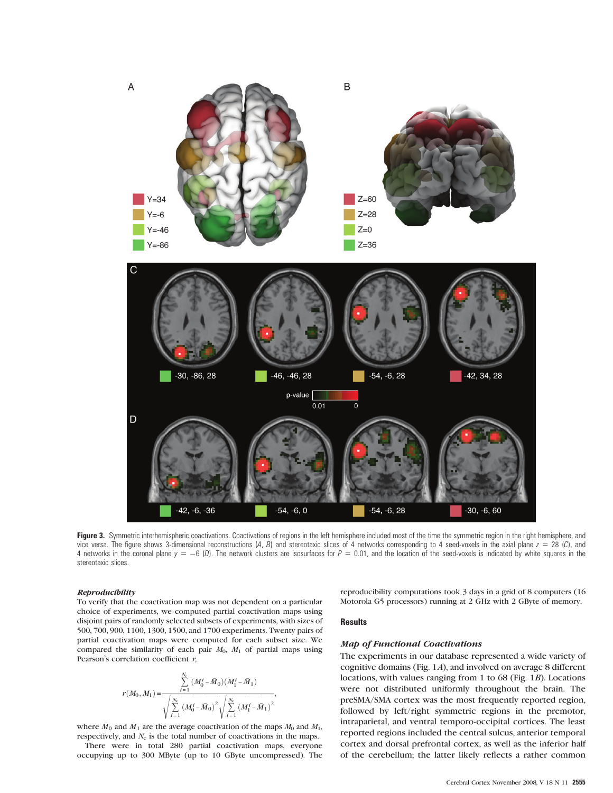

Figure 3. Symmetric interhemispheric coactivations. Coactivations of regions in the left hemisphere included most of the time the symmetric region in the right hemisphere, and vice versa. The figure shows 3-dimensional reconstructions  $(A, B)$  and stereotaxic slices of 4 networks corresponding to 4 seed-voxels in the axial plane  $z = 28$  (C), and 4 networks in the coronal plane  $y = -6$  (D). The network clusters are isosurfaces for  $P = 0.01$ , and the location of the seed-voxels is indicated by white squares in the stereotaxic slices.

#### Reproducibility

To verify that the coactivation map was not dependent on a particular choice of experiments, we computed partial coactivation maps using disjoint pairs of randomly selected subsets of experiments, with sizes of 500, 700, 900, 1100, 1300, 1500, and 1700 experiments. Twenty pairs of partial coactivation maps were computed for each subset size. We compared the similarity of each pair  $M_0$ ,  $M_1$  of partial maps using Pearson's correlation coefficient  $r$ ,

$$
r(M_0, M_1) = \frac{\sum\limits_{i=1}^{N_{\rm c}}\ (M_0^i - \bar{M}_0) (M_1^i - \bar{M}_1)}{\sqrt{\sum\limits_{i=1}^{N_{\rm c}}\ (M_0^i - \bar{M}_0)^2} \sqrt{\sum\limits_{i=1}^{N_{\rm c}}\ (M_1^i - \bar{M}_1)^2}},
$$

where  $\bar{M}_0$  and  $\bar{M}_1$  are the average coactivation of the maps  $M_0$  and  $M_1$ , respectively, and  $N_c$  is the total number of coactivations in the maps.

There were in total 280 partial coactivation maps, everyone occupying up to 300 MByte (up to 10 GByte uncompressed). The reproducibility computations took 3 days in a grid of 8 computers (16 Motorola G5 processors) running at 2 GHz with 2 GByte of memory.

## **Results**

## Map of Functional Coactivations

The experiments in our database represented a wide variety of cognitive domains (Fig. 1A), and involved on average 8 different locations, with values ranging from 1 to 68 (Fig. 1B). Locations were not distributed uniformly throughout the brain. The preSMA/SMA cortex was the most frequently reported region, followed by left/right symmetric regions in the premotor, intraparietal, and ventral temporo-occipital cortices. The least reported regions included the central sulcus, anterior temporal cortex and dorsal prefrontal cortex, as well as the inferior half of the cerebellum; the latter likely reflects a rather common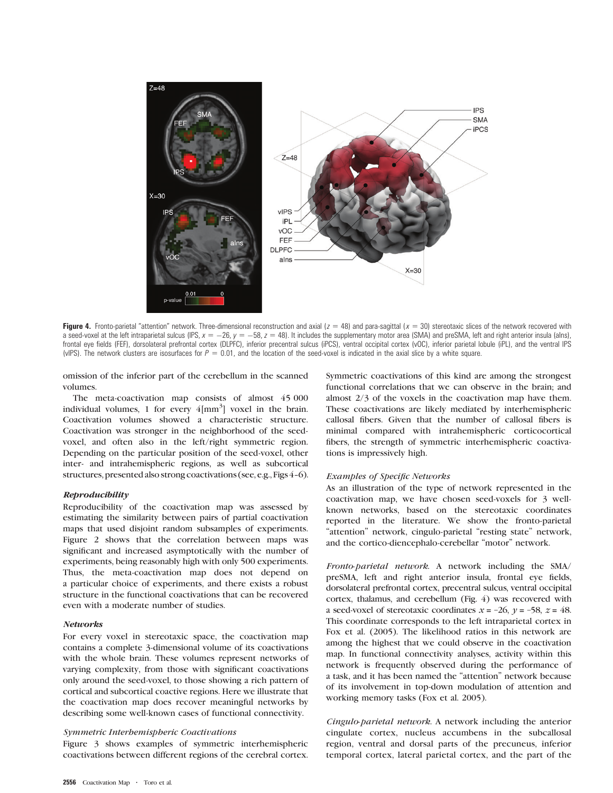

Figure 4. Fronto-parietal "attention" network. Three-dimensional reconstruction and axial  $(z = 48)$  and para-sagittal  $(x = 30)$  stereotaxic slices of the network recovered with a seed-voxel at the left intraparietal sulcus (IPS,  $x = -26$ ,  $y = -58$ ,  $z = 48$ ). It includes the supplementary motor area (SMA) and preSMA, left and right anterior insula (alns), frontal eye fields (FEF), dorsolateral prefrontal cortex (DLPFC), inferior precentral sulcus (iPCS), ventral occipital cortex (vOC), inferior parietal lobule (iPL), and the ventral IPS (vIPS). The network clusters are isosurfaces for  $P = 0.01$ , and the location of the seed-voxel is indicated in the axial slice by a white square.

omission of the inferior part of the cerebellum in the scanned volumes.

The meta-coactivation map consists of almost 45 000 individual volumes, 1 for every  $4$ [mm<sup>3</sup>] voxel in the brain. Coactivation volumes showed a characteristic structure. Coactivation was stronger in the neighborhood of the seedvoxel, and often also in the left/right symmetric region. Depending on the particular position of the seed-voxel, other inter- and intrahemispheric regions, as well as subcortical structures, presented also strong coactivations (see, e.g., Figs 4-6).

## **Reproducibility**

Reproducibility of the coactivation map was assessed by estimating the similarity between pairs of partial coactivation maps that used disjoint random subsamples of experiments. Figure 2 shows that the correlation between maps was significant and increased asymptotically with the number of experiments, being reasonably high with only 500 experiments. Thus, the meta-coactivation map does not depend on a particular choice of experiments, and there exists a robust structure in the functional coactivations that can be recovered even with a moderate number of studies.

#### **Networks**

For every voxel in stereotaxic space, the coactivation map contains a complete 3-dimensional volume of its coactivations with the whole brain. These volumes represent networks of varying complexity, from those with significant coactivations only around the seed-voxel, to those showing a rich pattern of cortical and subcortical coactive regions. Here we illustrate that the coactivation map does recover meaningful networks by describing some well-known cases of functional connectivity.

## Symmetric Interhemispheric Coactivations

Figure 3 shows examples of symmetric interhemispheric coactivations between different regions of the cerebral cortex. Symmetric coactivations of this kind are among the strongest functional correlations that we can observe in the brain; and almost 2/3 of the voxels in the coactivation map have them. These coactivations are likely mediated by interhemispheric callosal fibers. Given that the number of callosal fibers is minimal compared with intrahemispheric corticocortical fibers, the strength of symmetric interhemispheric coactivations is impressively high.

#### Examples of Specific Networks

As an illustration of the type of network represented in the coactivation map, we have chosen seed-voxels for 3 wellknown networks, based on the stereotaxic coordinates reported in the literature. We show the fronto-parietal "attention" network, cingulo-parietal "resting state" network, and the cortico-diencephalo-cerebellar ''motor'' network.

Fronto-parietal network. A network including the SMA/ preSMA, left and right anterior insula, frontal eye fields, dorsolateral prefrontal cortex, precentral sulcus, ventral occipital cortex, thalamus, and cerebellum (Fig. 4) was recovered with a seed-voxel of stereotaxic coordinates  $x = -26$ ,  $y = -58$ ,  $z = 48$ . This coordinate corresponds to the left intraparietal cortex in Fox et al. (2005). The likelihood ratios in this network are among the highest that we could observe in the coactivation map. In functional connectivity analyses, activity within this network is frequently observed during the performance of a task, and it has been named the ''attention'' network because of its involvement in top-down modulation of attention and working memory tasks (Fox et al. 2005).

Cingulo-parietal network. A network including the anterior cingulate cortex, nucleus accumbens in the subcallosal region, ventral and dorsal parts of the precuneus, inferior temporal cortex, lateral parietal cortex, and the part of the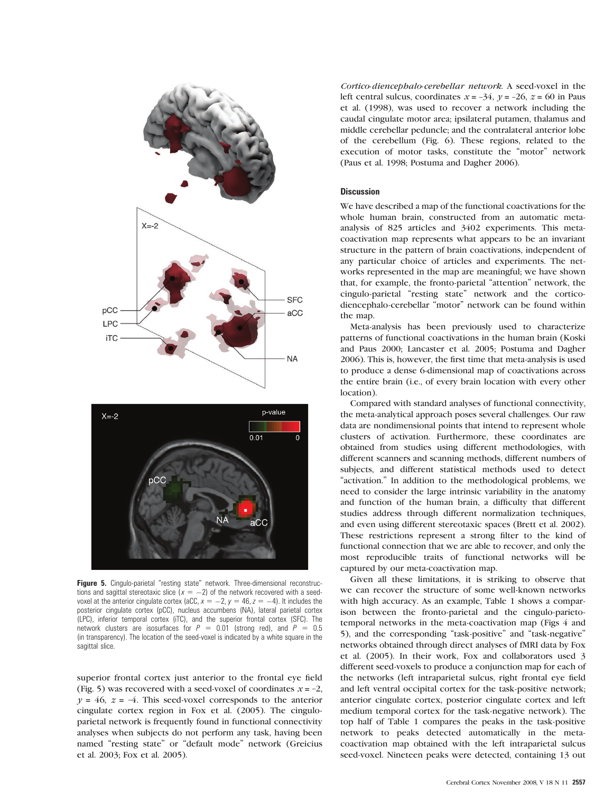



Figure 5. Cingulo-parietal "resting state" network. Three-dimensional reconstructions and sagittal stereotaxic slice ( $x = -2$ ) of the network recovered with a seedvoxel at the anterior cingulate cortex (aCC,  $x = -2$ ,  $y = 46$ ,  $z = -4$ ). It includes the posterior cingulate cortex (pCC), nucleus accumbens (NA), lateral parietal cortex (LPC), inferior temporal cortex (iTC), and the superior frontal cortex (SFC). The network clusters are isosurfaces for  $P = 0.01$  (strong red), and  $P = 0.5$ (in transparency). The location of the seed-voxel is indicated by a white square in the sagittal slice.

superior frontal cortex just anterior to the frontal eye field (Fig. 5) was recovered with a seed-voxel of coordinates  $x = -2$ ,  $y = 46$ ,  $z = -4$ . This seed-voxel corresponds to the anterior cingulate cortex region in Fox et al. (2005). The cinguloparietal network is frequently found in functional connectivity analyses when subjects do not perform any task, having been named "resting state" or "default mode" network (Greicius et al. 2003; Fox et al. 2005).

Cortico-diencephalo-cerebellar network. A seed-voxel in the left central sulcus, coordinates  $x = -34$ ,  $y = -26$ ,  $z = 60$  in Paus et al. (1998), was used to recover a network including the caudal cingulate motor area; ipsilateral putamen, thalamus and middle cerebellar peduncle; and the contralateral anterior lobe of the cerebellum (Fig. 6). These regions, related to the execution of motor tasks, constitute the ''motor'' network (Paus et al. 1998; Postuma and Dagher 2006).

# **Discussion**

We have described a map of the functional coactivations for the whole human brain, constructed from an automatic metaanalysis of 825 articles and 3402 experiments. This metacoactivation map represents what appears to be an invariant structure in the pattern of brain coactivations, independent of any particular choice of articles and experiments. The networks represented in the map are meaningful; we have shown that, for example, the fronto-parietal ''attention'' network, the cingulo-parietal ''resting state'' network and the corticodiencephalo-cerebellar ''motor'' network can be found within the map.

Meta-analysis has been previously used to characterize patterns of functional coactivations in the human brain (Koski and Paus 2000; Lancaster et al. 2005; Postuma and Dagher 2006). This is, however, the first time that meta-analysis is used to produce a dense 6-dimensional map of coactivations across the entire brain (i.e., of every brain location with every other location).

Compared with standard analyses of functional connectivity, the meta-analytical approach poses several challenges. Our raw data are nondimensional points that intend to represent whole clusters of activation. Furthermore, these coordinates are obtained from studies using different methodologies, with different scanners and scanning methods, different numbers of subjects, and different statistical methods used to detect "activation." In addition to the methodological problems, we need to consider the large intrinsic variability in the anatomy and function of the human brain, a difficulty that different studies address through different normalization techniques, and even using different stereotaxic spaces (Brett et al. 2002). These restrictions represent a strong filter to the kind of functional connection that we are able to recover, and only the most reproducible traits of functional networks will be captured by our meta-coactivation map.

Given all these limitations, it is striking to observe that we can recover the structure of some well-known networks with high accuracy. As an example, Table 1 shows a comparison between the fronto-parietal and the cingulo-parietotemporal networks in the meta-coactivation map (Figs 4 and 5), and the corresponding ''task-positive'' and ''task-negative'' networks obtained through direct analyses of fMRI data by Fox et al. (2005). In their work, Fox and collaborators used 3 different seed-voxels to produce a conjunction map for each of the networks (left intraparietal sulcus, right frontal eye field and left ventral occipital cortex for the task-positive network; anterior cingulate cortex, posterior cingulate cortex and left medium temporal cortex for the task-negative network). The top half of Table 1 compares the peaks in the task-positive network to peaks detected automatically in the metacoactivation map obtained with the left intraparietal sulcus seed-voxel. Nineteen peaks were detected, containing 13 out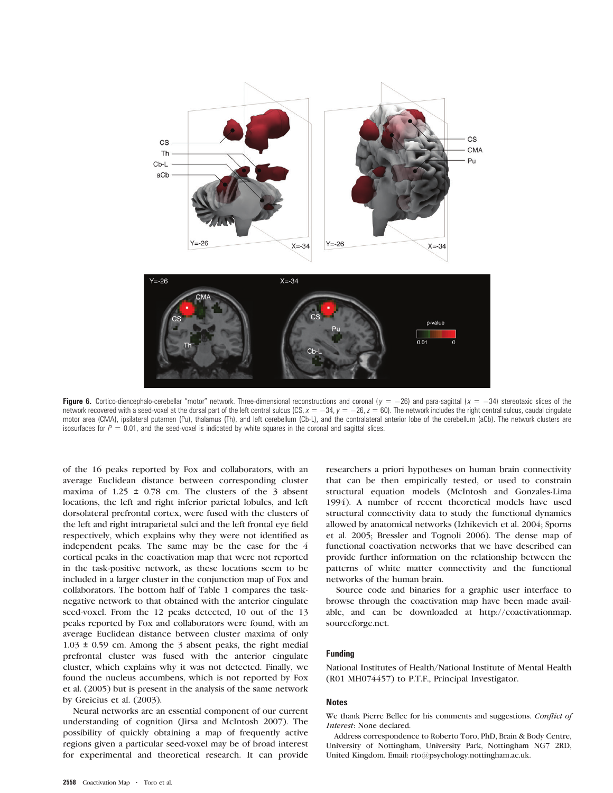

Figure 6. Cortico-diencephalo-cerebellar "motor" network. Three-dimensional reconstructions and coronal ( $y = -26$ ) and para-sagittal ( $x = -34$ ) stereotaxic slices of the network recovered with a seed-voxel at the dorsal part of the left central sulcus (CS,  $x = -34$ ,  $y = -26$ ,  $z = 60$ ). The network includes the right central sulcus, caudal cingulate motor area (CMA), ipsilateral putamen (Pu), thalamus (Th), and left cerebellum (Cb-L), and the contralateral anterior lobe of the cerebellum (aCb). The network clusters are isosurfaces for  $P = 0.01$ , and the seed-voxel is indicated by white squares in the coronal and sagittal slices.

of the 16 peaks reported by Fox and collaborators, with an average Euclidean distance between corresponding cluster maxima of  $1.25 \pm 0.78$  cm. The clusters of the 3 absent locations, the left and right inferior parietal lobules, and left dorsolateral prefrontal cortex, were fused with the clusters of the left and right intraparietal sulci and the left frontal eye field respectively, which explains why they were not identified as independent peaks. The same may be the case for the 4 cortical peaks in the coactivation map that were not reported in the task-positive network, as these locations seem to be included in a larger cluster in the conjunction map of Fox and collaborators. The bottom half of Table 1 compares the tasknegative network to that obtained with the anterior cingulate seed-voxel. From the 12 peaks detected, 10 out of the 13 peaks reported by Fox and collaborators were found, with an average Euclidean distance between cluster maxima of only 1.03 ± 0.59 cm. Among the 3 absent peaks, the right medial prefrontal cluster was fused with the anterior cingulate cluster, which explains why it was not detected. Finally, we found the nucleus accumbens, which is not reported by Fox et al. (2005) but is present in the analysis of the same network by Greicius et al. (2003).

Neural networks are an essential component of our current understanding of cognition (Jirsa and McIntosh 2007). The possibility of quickly obtaining a map of frequently active regions given a particular seed-voxel may be of broad interest for experimental and theoretical research. It can provide researchers a priori hypotheses on human brain connectivity that can be then empirically tested, or used to constrain structural equation models (McIntosh and Gonzales-Lima 1994). A number of recent theoretical models have used structural connectivity data to study the functional dynamics allowed by anatomical networks (Izhikevich et al. 2004; Sporns et al. 2005; Bressler and Tognoli 2006). The dense map of functional coactivation networks that we have described can provide further information on the relationship between the patterns of white matter connectivity and the functional networks of the human brain.

Source code and binaries for a graphic user interface to browse through the coactivation map have been made available, and can be downloaded at http://coactivationmap. sourceforge.net.

## Funding

National Institutes of Health/National Institute of Mental Health (R01 MH074457) to P.T.F., Principal Investigator.

#### **Notes**

We thank Pierre Bellec for his comments and suggestions. Conflict of Interest: None declared.

Address correspondence to Roberto Toro, PhD, Brain & Body Centre, University of Nottingham, University Park, Nottingham NG7 2RD, United Kingdom. Email: rto@psychology.nottingham.ac.uk.